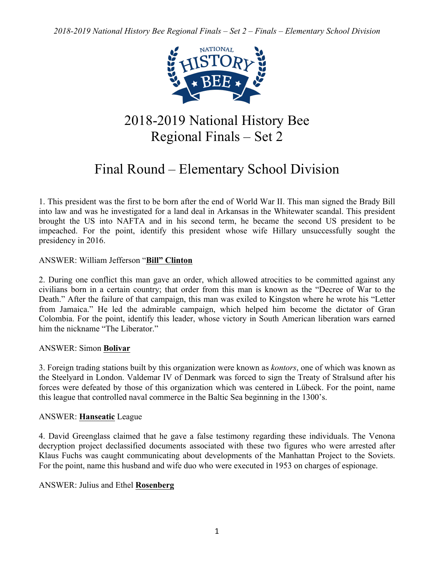*2018-2019 National History Bee Regional Finals – Set 2 – Finals – Elementary School Division*



# 2018-2019 National History Bee Regional Finals – Set 2

# Final Round – Elementary School Division

1. This president was the first to be born after the end of World War II. This man signed the Brady Bill into law and was he investigated for a land deal in Arkansas in the Whitewater scandal. This president brought the US into NAFTA and in his second term, he became the second US president to be impeached. For the point, identify this president whose wife Hillary unsuccessfully sought the presidency in 2016.

# ANSWER: William Jefferson "**Bill" Clinton**

2. During one conflict this man gave an order, which allowed atrocities to be committed against any civilians born in a certain country; that order from this man is known as the "Decree of War to the Death." After the failure of that campaign, this man was exiled to Kingston where he wrote his "Letter from Jamaica." He led the admirable campaign, which helped him become the dictator of Gran Colombia. For the point, identify this leader, whose victory in South American liberation wars earned him the nickname "The Liberator"

# ANSWER: Simon **Bolivar**

3. Foreign trading stations built by this organization were known as *kontors*, one of which was known as the Steelyard in London. Valdemar IV of Denmark was forced to sign the Treaty of Stralsund after his forces were defeated by those of this organization which was centered in Lübeck. For the point, name this league that controlled naval commerce in the Baltic Sea beginning in the 1300's.

# ANSWER: **Hanseatic** League

4. David Greenglass claimed that he gave a false testimony regarding these individuals. The Venona decryption project declassified documents associated with these two figures who were arrested after Klaus Fuchs was caught communicating about developments of the Manhattan Project to the Soviets. For the point, name this husband and wife duo who were executed in 1953 on charges of espionage.

# ANSWER: Julius and Ethel **Rosenberg**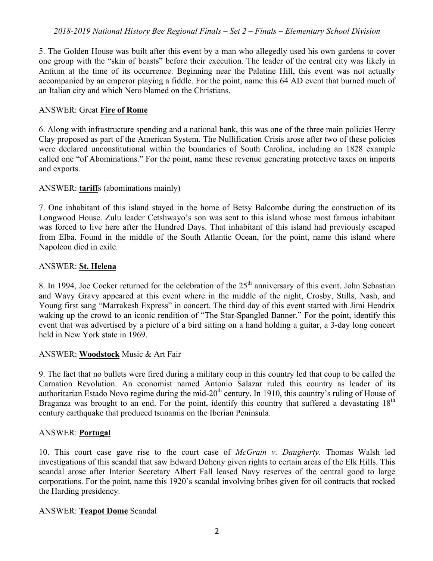5. The Golden House was built after this event by a man who allegedly used his own gardens to cover one group with the "skin of beasts" before their execution. The leader of the central city was likely in Antium at the time of its occurrence. Beginning near the Palatine Hill, this event was not actually accompanied by an emperor playing a fiddle. For the point, name this 64 AD event that burned much of an Italian city and which Nero blamed on the Christians.

# ANSWER: Great **Fire of Rome**

6. Along with infrastructure spending and a national bank, this was one of the three main policies Henry Clay proposed as part of the American System. The Nullification Crisis arose after two of these policies were declared unconstitutional within the boundaries of South Carolina, including an 1828 example called one "of Abominations." For the point, name these revenue generating protective taxes on imports and exports.

### ANSWER: **tariff**s (abominations mainly)

7. One inhabitant of this island stayed in the home of Betsy Balcombe during the construction of its Longwood House. Zulu leader Cetshwayo's son was sent to this island whose most famous inhabitant was forced to live here after the Hundred Days. That inhabitant of this island had previously escaped from Elba. Found in the middle of the South Atlantic Ocean, for the point, name this island where Napoleon died in exile.

### ANSWER: **St. Helena**

8. In 1994, Joe Cocker returned for the celebration of the  $25<sup>th</sup>$  anniversary of this event. John Sebastian and Wavy Gravy appeared at this event where in the middle of the night, Crosby, Stills, Nash, and Young first sang "Marrakesh Express" in concert. The third day of this event started with Jimi Hendrix waking up the crowd to an iconic rendition of "The Star-Spangled Banner." For the point, identify this event that was advertised by a picture of a bird sitting on a hand holding a guitar, a 3-day long concert held in New York state in 1969.

# ANSWER: **Woodstock** Music & Art Fair

9. The fact that no bullets were fired during a military coup in this country led that coup to be called the Carnation Revolution. An economist named Antonio Salazar ruled this country as leader of its authoritarian Estado Novo regime during the mid-20<sup>th</sup> century. In 1910, this country's ruling of House of Braganza was brought to an end. For the point, identify this country that suffered a devastating  $18<sup>th</sup>$ century earthquake that produced tsunamis on the Iberian Peninsula.

# ANSWER: **Portugal**

10. This court case gave rise to the court case of *McGrain v. Daugherty*. Thomas Walsh led investigations of this scandal that saw Edward Doheny given rights to certain areas of the Elk Hills. This scandal arose after Interior Secretary Albert Fall leased Navy reserves of the central good to large corporations. For the point, name this 1920's scandal involving bribes given for oil contracts that rocked the Harding presidency.

#### ANSWER: **Teapot Dome** Scandal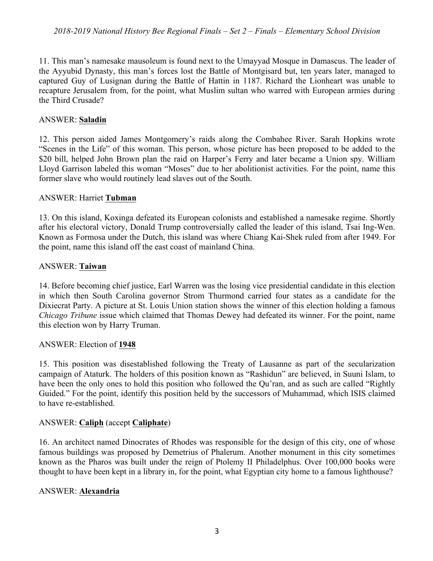11. This man's namesake mausoleum is found next to the Umayyad Mosque in Damascus. The leader of the Ayyubid Dynasty, this man's forces lost the Battle of Montgisard but, ten years later, managed to captured Guy of Lusignan during the Battle of Hattin in 1187. Richard the Lionheart was unable to recapture Jerusalem from, for the point, what Muslim sultan who warred with European armies during the Third Crusade?

# ANSWER: **Saladin**

12. This person aided James Montgomery's raids along the Combahee River. Sarah Hopkins wrote "Scenes in the Life" of this woman. This person, whose picture has been proposed to be added to the \$20 bill, helped John Brown plan the raid on Harper's Ferry and later became a Union spy. William Lloyd Garrison labeled this woman "Moses" due to her abolitionist activities. For the point, name this former slave who would routinely lead slaves out of the South.

# ANSWER: Harriet **Tubman**

13. On this island, Koxinga defeated its European colonists and established a namesake regime. Shortly after his electoral victory, Donald Trump controversially called the leader of this island, Tsai Ing-Wen. Known as Formosa under the Dutch, this island was where Chiang Kai-Shek ruled from after 1949. For the point, name this island off the east coast of mainland China.

# ANSWER: **Taiwan**

14. Before becoming chief justice, Earl Warren was the losing vice presidential candidate in this election in which then South Carolina governor Strom Thurmond carried four states as a candidate for the Dixiecrat Party. A picture at St. Louis Union station shows the winner of this election holding a famous *Chicago Tribune* issue which claimed that Thomas Dewey had defeated its winner. For the point, name this election won by Harry Truman.

# ANSWER: Election of **1948**

15. This position was disestablished following the Treaty of Lausanne as part of the secularization campaign of Ataturk. The holders of this position known as "Rashidun" are believed, in Suuni Islam, to have been the only ones to hold this position who followed the Qu'ran, and as such are called "Rightly Guided." For the point, identify this position held by the successors of Muhammad, which ISIS claimed to have re-established.

# ANSWER: **Caliph** (accept **Caliphate**)

16. An architect named Dinocrates of Rhodes was responsible for the design of this city, one of whose famous buildings was proposed by Demetrius of Phalerum. Another monument in this city sometimes known as the Pharos was built under the reign of Ptolemy II Philadelphus. Over 100,000 books were thought to have been kept in a library in, for the point, what Egyptian city home to a famous lighthouse?

# ANSWER: **Alexandria**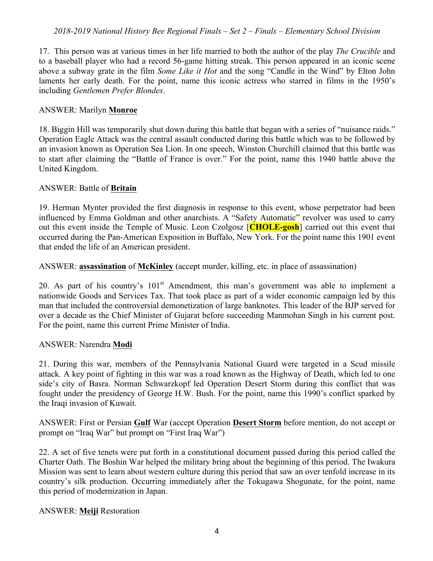# *2018-2019 National History Bee Regional Finals – Set 2 – Finals – Elementary School Division*

17. This person was at various times in her life married to both the author of the play *The Crucible* and to a baseball player who had a record 56-game hitting streak. This person appeared in an iconic scene above a subway grate in the film *Some Like it Hot* and the song "Candle in the Wind" by Elton John laments her early death. For the point, name this iconic actress who starred in films in the 1950's including *Gentlemen Prefer Blondes*.

#### ANSWER: Marilyn **Monroe**

18. Biggin Hill was temporarily shut down during this battle that began with a series of "nuisance raids." Operation Eagle Attack was the central assault conducted during this battle which was to be followed by an invasion known as Operation Sea Lion. In one speech, Winston Churchill claimed that this battle was to start after claiming the "Battle of France is over." For the point, name this 1940 battle above the United Kingdom.

#### ANSWER: Battle of **Britain**

19. Herman Mynter provided the first diagnosis in response to this event, whose perpetrator had been influenced by Emma Goldman and other anarchists. A "Safety Automatic" revolver was used to carry out this event inside the Temple of Music. Leon Czolgosz [**CHOLE-gosh**] carried out this event that occurred during the Pan-American Exposition in Buffalo, New York. For the point name this 1901 event that ended the life of an American president.

ANSWER: **assassination** of **McKinley** (accept murder, killing, etc. in place of assassination)

20. As part of his country's  $101<sup>st</sup>$  Amendment, this man's government was able to implement a nationwide Goods and Services Tax. That took place as part of a wider economic campaign led by this man that included the controversial demonetization of large banknotes. This leader of the BJP served for over a decade as the Chief Minister of Gujarat before succeeding Manmohan Singh in his current post. For the point, name this current Prime Minister of India.

#### ANSWER: Narendra **Modi**

21. During this war, members of the Pennsylvania National Guard were targeted in a Scud missile attack. A key point of fighting in this war was a road known as the Highway of Death, which led to one side's city of Basra. Norman Schwarzkopf led Operation Desert Storm during this conflict that was fought under the presidency of George H.W. Bush. For the point, name this 1990's conflict sparked by the Iraqi invasion of Kuwait.

ANSWER: First or Persian **Gulf** War (accept Operation **Desert Storm** before mention, do not accept or prompt on "Iraq War" but prompt on "First Iraq War")

22. A set of five tenets were put forth in a constitutional document passed during this period called the Charter Oath. The Boshin War helped the military bring about the beginning of this period. The Iwakura Mission was sent to learn about western culture during this period that saw an over tenfold increase in its country's silk production. Occurring immediately after the Tokugawa Shogunate, for the point, name this period of modernization in Japan.

#### ANSWER: **Meiji** Restoration